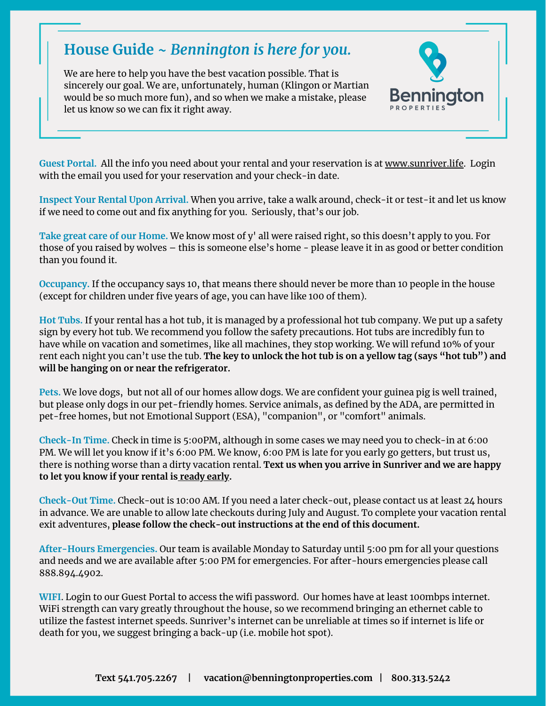## **House Guide ~** *Bennington is here for you.*

We are here to help you have the best vacation possible. That is sincerely our goal. We are, unfortunately, human (Klingon or Martian would be so much more fun), and so when we make a mistake, please let us know so we can fix it right away.



**Guest Portal.** All the info you need about your rental and your reservation is at www.sunriver.life. Login with the email you used for your reservation and your check-in date.

**Inspect Your Rental Upon Arrival.** When you arrive, take a walk around, check-it or test-it and let us know if we need to come out and fix anything for you. Seriously, that's our job.

**Take great care of our Home.** We know most of y' all were raised right, so this doesn't apply to you. For those of you raised by wolves – this is someone else's home - please leave it in as good or better condition than you found it.

**Occupancy.** If the occupancy says 10, that means there should never be more than 10 people in the house (except for children under five years of age, you can have like 100 of them).

**Hot Tubs.** If your rental has a hot tub, it is managed by a professional hot tub company. We put up a safety sign by every hot tub. We recommend you follow the safety precautions. Hot tubs are incredibly fun to have while on vacation and sometimes, like all machines, they stop working. We will refund 10% of your rent each night you can't use the tub. **The key to unlock the hot tub is on a yellow tag (says "hot tub") and will be hanging on or near the refrigerator.**

**Pets.** We love dogs, but not all of our homes allow dogs. We are confident your guinea pig is well trained, but please only dogs in our pet-friendly homes. Service animals, as defined by the ADA, are permitted in pet-free homes, but not Emotional Support (ESA), "companion", or "comfort" animals.

**Check-In Time.** Check in time is 5:00PM, although in some cases we may need you to check-in at 6:00 PM. We will let you know if it's 6:00 PM. We know, 6:00 PM is late for you early go getters, but trust us, there is nothing worse than a dirty vacation rental. **Text us when you arrive in Sunriver and we are happy to let you know if your rental is ready early.**

**Check-Out Time.** Check-out is 10:00 AM. If you need a later check-out, please contact us at least 24 hours in advance. We are unable to allow late checkouts during July and August. To complete your vacation rental exit adventures, **please follow the check-out [instructions](https://tinyurl.com/benn-checkout) at the end of this document.**

**After-Hours Emergencies.** Our team is available Monday to Saturday until 5:00 pm for all your questions and needs and we are available after 5:00 PM for emergencies. For after-hours emergencies please call [888.894.4902](tel:8888944902).

**WIFI**. Login to our Guest Portal to access the wifi password. Our homes have at least 100mbps internet. WiFi strength can vary greatly throughout the house, so we recommend bringing an ethernet cable to utilize the fastest internet speeds. Sunriver's internet can be unreliable at times so if internet is life or death for you, we suggest bringing a back-up (i.e. mobile hot spot).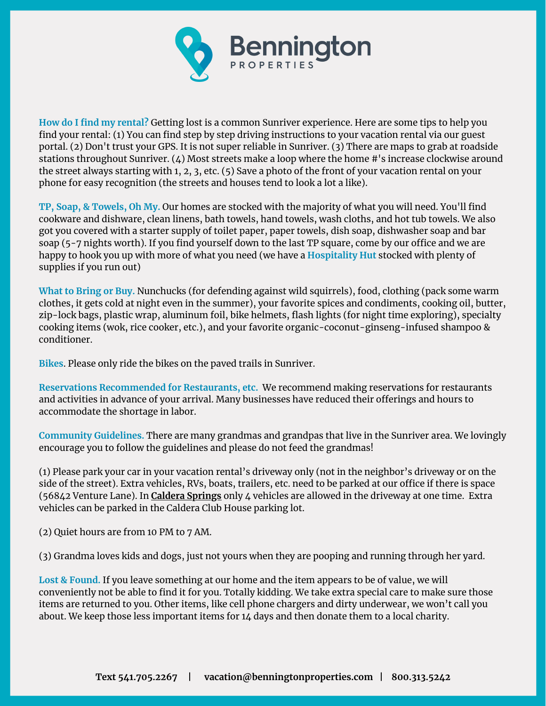

**How do I find my rental?** Getting lost is a common Sunriver experience. Here are some tips to help you find your rental: (1) You can find step by step driving [instructions](https://benningtonproperties.trackhs.com/guest/#!/login/) to your vacation rental via our guest portal. (2) Don't trust your GPS. It is not super reliable in Sunriver. (3) There are maps to grab at roadside stations throughout Sunriver. (4) Most streets make a loop where the home #'s increase clockwise around the street always starting with 1, 2, 3, etc. (5) Save a photo of the front of your vacation rental on your phone for easy recognition (the streets and houses tend to look a lot a like).

**TP, Soap, & Towels, Oh My.** Our homes are stocked with the majority of what you will need. You'll find cookware and dishware, clean linens, bath towels, hand towels, wash cloths, and hot tub towels. We also got you covered with a starter supply of toilet paper, paper towels, dish soap, dishwasher soap and bar soap (5-7 nights worth). If you find yourself down to the last TP square, come by our office and we are happy to hook you up with more of what you need (we have a **Hospitality Hut** stocked with plenty of supplies if you run out)

**What to Bring or Buy.** Nunchucks (for defending against wild squirrels), food, clothing (pack some warm clothes, it gets cold at night even in the summer), your favorite spices and condiments, cooking oil, butter, zip-lock bags, plastic wrap, aluminum foil, bike helmets, flash lights (for night time exploring), specialty cooking items (wok, rice cooker, etc.), and your favorite organic-coconut-ginseng-infused shampoo & conditioner.

**Bikes**. Please only ride the bikes on the paved trails in Sunriver.

**Reservations Recommended for Restaurants, etc.** We recommend making reservations for restaurants and activities in advance of your arrival. Many businesses have reduced their offerings and hours to accommodate the shortage in labor.

**Community Guidelines.** There are many grandmas and grandpas that live in the Sunriver area. We lovingly encourage you to follow the guidelines and please do not feed the grandmas!

(1) Please park your car in your vacation rental's driveway only (not in the neighbor's driveway or on the side of the street). Extra vehicles, RVs, boats, trailers, etc. need to be parked at our office if there is space (56842 Venture Lane). In **Caldera Springs** only 4 vehicles are allowed in the driveway at one time. Extra vehicles can be parked in the Caldera Club House parking lot.

(2) Quiet hours are from 10 PM to 7 AM.

(3) Grandma loves kids and dogs, just not yours when they are pooping and running through her yard.

**Lost & Found.** If you leave something at our home and the item appears to be of value, we will conveniently not be able to find it for you. Totally kidding. We take extra special care to make sure those items are returned to you. Other items, like cell phone chargers and dirty underwear, we won't call you about. We keep those less important items for 14 days and then donate them to a local charity.